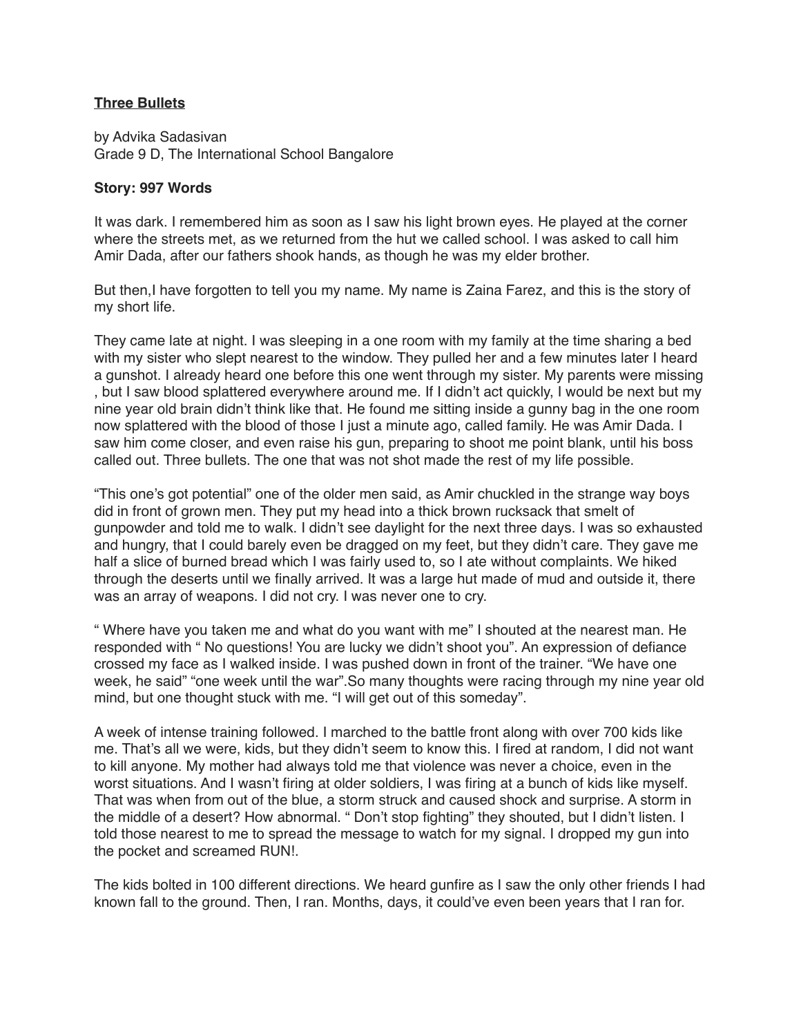## **Three Bullets**

by Advika Sadasivan Grade 9 D, The International School Bangalore

## **Story: 997 Words**

It was dark. I remembered him as soon as I saw his light brown eyes. He played at the corner where the streets met, as we returned from the hut we called school. I was asked to call him Amir Dada, after our fathers shook hands, as though he was my elder brother.

But then, I have forgotten to tell you my name. My name is Zaina Farez, and this is the story of my short life.

They came late at night. I was sleeping in a one room with my family at the time sharing a bed with my sister who slept nearest to the window. They pulled her and a few minutes later I heard a gunshot. I already heard one before this one went through my sister. My parents were missing , but I saw blood splattered everywhere around me. If I didn't act quickly, I would be next but my nine year old brain didn't think like that. He found me sitting inside a gunny bag in the one room now splattered with the blood of those I just a minute ago, called family. He was Amir Dada. I saw him come closer, and even raise his gun, preparing to shoot me point blank, until his boss called out. Three bullets. The one that was not shot made the rest of my life possible.

"This one's got potential" one of the older men said, as Amir chuckled in the strange way boys did in front of grown men. They put my head into a thick brown rucksack that smelt of gunpowder and told me to walk. I didn't see daylight for the next three days. I was so exhausted and hungry, that I could barely even be dragged on my feet, but they didn't care. They gave me half a slice of burned bread which I was fairly used to, so I ate without complaints. We hiked through the deserts until we finally arrived. It was a large hut made of mud and outside it, there was an array of weapons. I did not cry. I was never one to cry.

" Where have you taken me and what do you want with me" I shouted at the nearest man. He responded with " No questions! You are lucky we didn't shoot you". An expression of defiance crossed my face as I walked inside. I was pushed down in front of the trainer. "We have one week, he said" "one week until the war".So many thoughts were racing through my nine year old mind, but one thought stuck with me. "I will get out of this someday".

A week of intense training followed. I marched to the battle front along with over 700 kids like me. That's all we were, kids, but they didn't seem to know this. I fired at random, I did not want to kill anyone. My mother had always told me that violence was never a choice, even in the worst situations. And I wasn't firing at older soldiers, I was firing at a bunch of kids like myself. That was when from out of the blue, a storm struck and caused shock and surprise. A storm in the middle of a desert? How abnormal. " Don't stop fighting" they shouted, but I didn't listen. I told those nearest to me to spread the message to watch for my signal. I dropped my gun into the pocket and screamed RUN!.

The kids bolted in 100 different directions. We heard gunfire as I saw the only other friends I had known fall to the ground. Then, I ran. Months, days, it could've even been years that I ran for.